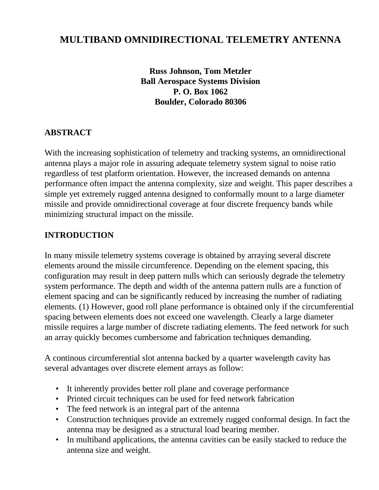# **MULTIBAND OMNIDIRECTIONAL TELEMETRY ANTENNA**

**Russ Johnson, Tom Metzler Ball Aerospace Systems Division P. O. Box 1062 Boulder, Colorado 80306**

#### **ABSTRACT**

With the increasing sophistication of telemetry and tracking systems, an omnidirectional antenna plays a major role in assuring adequate telemetry system signal to noise ratio regardless of test platform orientation. However, the increased demands on antenna performance often impact the antenna complexity, size and weight. This paper describes a simple yet extremely rugged antenna designed to conformally mount to a large diameter missile and provide omnidirectional coverage at four discrete frequency bands while minimizing structural impact on the missile.

#### **INTRODUCTION**

In many missile telemetry systems coverage is obtained by arraying several discrete elements around the missile circumference. Depending on the element spacing, this configuration may result in deep pattern nulls which can seriously degrade the telemetry system performance. The depth and width of the antenna pattern nulls are a function of element spacing and can be significantly reduced by increasing the number of radiating elements. (1) However, good roll plane performance is obtained only if the circumferential spacing between elements does not exceed one wavelength. Clearly a large diameter missile requires a large number of discrete radiating elements. The feed network for such an array quickly becomes cumbersome and fabrication techniques demanding.

A continous circumferential slot antenna backed by a quarter wavelength cavity has several advantages over discrete element arrays as follow:

- It inherently provides better roll plane and coverage performance
- Printed circuit techniques can be used for feed network fabrication
- The feed network is an integral part of the antenna
- Construction techniques provide an extremely rugged conformal design. In fact the antenna may be designed as a structural load bearing member.
- In multiband applications, the antenna cavities can be easily stacked to reduce the antenna size and weight.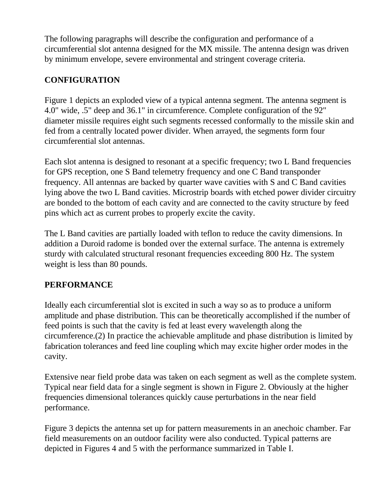The following paragraphs will describe the configuration and performance of a circumferential slot antenna designed for the MX missile. The antenna design was driven by minimum envelope, severe environmental and stringent coverage criteria.

## **CONFIGURATION**

Figure 1 depicts an exploded view of a typical antenna segment. The antenna segment is 4.0" wide, .5" deep and 36.1" in circumference. Complete configuration of the 92" diameter missile requires eight such segments recessed conformally to the missile skin and fed from a centrally located power divider. When arrayed, the segments form four circumferential slot antennas.

Each slot antenna is designed to resonant at a specific frequency; two L Band frequencies for GPS reception, one S Band telemetry frequency and one C Band transponder frequency. All antennas are backed by quarter wave cavities with S and C Band cavities lying above the two L Band cavities. Microstrip boards with etched power divider circuitry are bonded to the bottom of each cavity and are connected to the cavity structure by feed pins which act as current probes to properly excite the cavity.

The L Band cavities are partially loaded with teflon to reduce the cavity dimensions. In addition a Duroid radome is bonded over the external surface. The antenna is extremely sturdy with calculated structural resonant frequencies exceeding 800 Hz. The system weight is less than 80 pounds.

### **PERFORMANCE**

Ideally each circumferential slot is excited in such a way so as to produce a uniform amplitude and phase distribution. This can be theoretically accomplished if the number of feed points is such that the cavity is fed at least every wavelength along the circumference.(2) In practice the achievable amplitude and phase distribution is limited by fabrication tolerances and feed line coupling which may excite higher order modes in the cavity.

Extensive near field probe data was taken on each segment as well as the complete system. Typical near field data for a single segment is shown in Figure 2. Obviously at the higher frequencies dimensional tolerances quickly cause perturbations in the near field performance.

Figure 3 depicts the antenna set up for pattern measurements in an anechoic chamber. Far field measurements on an outdoor facility were also conducted. Typical patterns are depicted in Figures 4 and 5 with the performance summarized in Table I.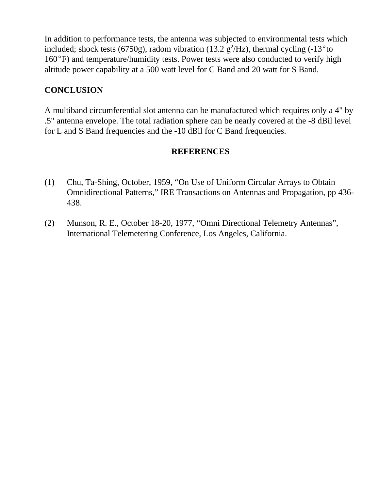In addition to performance tests, the antenna was subjected to environmental tests which included; shock tests (6750g), radom vibration (13.2  $g^2$ /Hz), thermal cycling (-13<sup>o</sup>to  $160^{\circ}$ F) and temperature/humidity tests. Power tests were also conducted to verify high altitude power capability at a 500 watt level for C Band and 20 watt for S Band.

#### **CONCLUSION**

A multiband circumferential slot antenna can be manufactured which requires only a 4" by .5" antenna envelope. The total radiation sphere can be nearly covered at the -8 dBil level for L and S Band frequencies and the -10 dBil for C Band frequencies.

#### **REFERENCES**

- (1) Chu, Ta-Shing, October, 1959, "On Use of Uniform Circular Arrays to Obtain Omnidirectional Patterns," IRE Transactions on Antennas and Propagation, pp 436- 438.
- (2) Munson, R. E., October 18-20, 1977, "Omni Directional Telemetry Antennas", International Telemetering Conference, Los Angeles, California.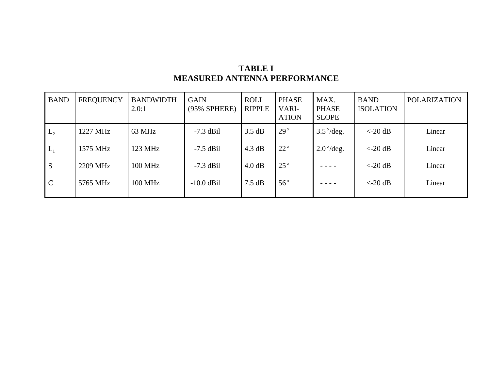| <b>TABLE I</b>                      |  |  |  |  |  |  |  |
|-------------------------------------|--|--|--|--|--|--|--|
| <b>MEASURED ANTENNA PERFORMANCE</b> |  |  |  |  |  |  |  |

| <b>BAND</b>   | <b>FREQUENCY</b> | <b>BANDWIDTH</b><br>2.0:1 | <b>GAIN</b><br>(95% SPHERE) | <b>ROLL</b><br><b>RIPPLE</b> | <b>PHASE</b><br>VARI-<br><b>ATION</b> | MAX.<br><b>PHASE</b><br><b>SLOPE</b> | <b>BAND</b><br><b>ISOLATION</b>  | POLARIZATION |
|---------------|------------------|---------------------------|-----------------------------|------------------------------|---------------------------------------|--------------------------------------|----------------------------------|--------------|
| $L_{2}$       | 1227 MHz         | 63 MHz                    | $-7.3$ dBil                 | 3.5 dB                       | $29^\circ$                            | $3.5^{\circ}/\text{deg.}$            | $<-20$ dB                        | Linear       |
| $L_1$         | 1575 MHz         | 123 MHz                   | $-7.5$ dBil                 | 4.3 dB                       | $22^{\circ}$                          | $2.0^{\circ}/\text{deg.}$            | $<-20$ dB                        | Linear       |
| S             | 2209 MHz         | 100 MHz                   | $-7.3$ dBil                 | 4.0 dB                       | $25^{\circ}$                          |                                      | $\langle -20 \text{ dB} \rangle$ | Linear       |
| $\mathcal{C}$ | 5765 MHz         | <b>100 MHz</b>            | $-10.0$ dBil                | $7.5 \text{ dB}$             | $56^{\circ}$                          |                                      | $\langle -20 \text{ dB} \rangle$ | Linear       |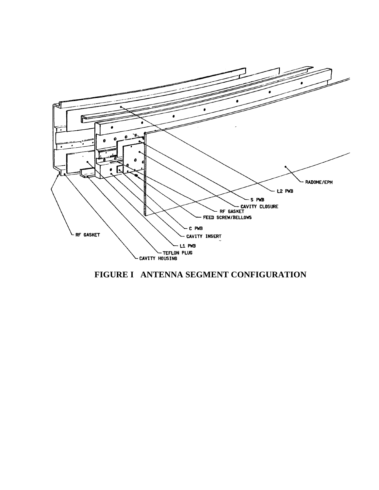

**FIGURE I ANTENNA SEGMENT CONFIGURATION**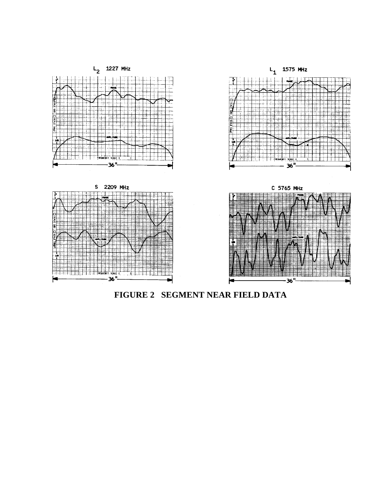

**FIGURE 2 SEGMENT NEAR FIELD DATA**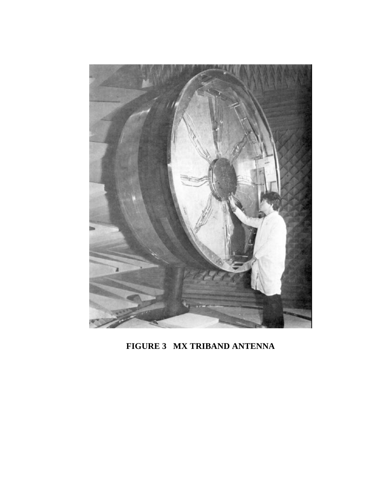

**FIGURE 3 MX TRIBAND ANTENNA**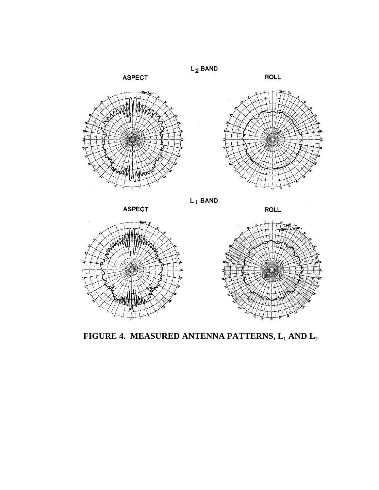



**FIGURE 4. MEASURED ANTENNA PATTERNS, L<sup>1</sup> AND L2**